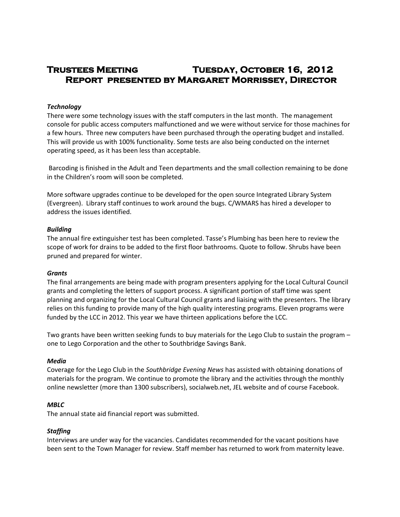# **Trustees Meeting Tuesday, October 16, 2012 Report presented by Margaret Morrissey, Director**

## *Technology*

There were some technology issues with the staff computers in the last month. The management console for public access computers malfunctioned and we were without service for those machines for a few hours. Three new computers have been purchased through the operating budget and installed. This will provide us with 100% functionality. Some tests are also being conducted on the internet operating speed, as it has been less than acceptable.

Barcoding is finished in the Adult and Teen departments and the small collection remaining to be done in the Children's room will soon be completed.

More software upgrades continue to be developed for the open source Integrated Library System (Evergreen). Library staff continues to work around the bugs. C/WMARS has hired a developer to address the issues identified.

### *Building*

The annual fire extinguisher test has been completed. Tasse's Plumbing has been here to review the scope of work for drains to be added to the first floor bathrooms. Quote to follow. Shrubs have been pruned and prepared for winter.

### *Grants*

The final arrangements are being made with program presenters applying for the Local Cultural Council grants and completing the letters of support process. A significant portion of staff time was spent planning and organizing for the Local Cultural Council grants and liaising with the presenters. The library relies on this funding to provide many of the high quality interesting programs. Eleven programs were funded by the LCC in 2012. This year we have thirteen applications before the LCC.

Two grants have been written seeking funds to buy materials for the Lego Club to sustain the program – one to Lego Corporation and the other to Southbridge Savings Bank.

#### *Media*

Coverage for the Lego Club in the *Southbridge Evening News* has assisted with obtaining donations of materials for the program. We continue to promote the library and the activities through the monthly online newsletter (more than 1300 subscribers), socialweb.net, JEL website and of course Facebook.

#### *MBLC*

The annual state aid financial report was submitted.

### *Staffing*

Interviews are under way for the vacancies. Candidates recommended for the vacant positions have been sent to the Town Manager for review. Staff member has returned to work from maternity leave.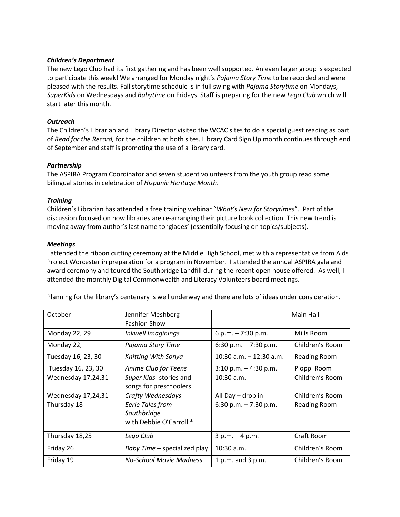## *Children's Department*

The new Lego Club had its first gathering and has been well supported. An even larger group is expected to participate this week! We arranged for Monday night's *Pajama Story Time* to be recorded and were pleased with the results. Fall storytime schedule is in full swing with *Pajama Storytime* on Mondays, *SuperKids* on Wednesdays and *Babytime* on Fridays. Staff is preparing for the new *Lego Club* which will start later this month.

## *Outreach*

The Children's Librarian and Library Director visited the WCAC sites to do a special guest reading as part of *Read for the Record,* for the children at both sites. Library Card Sign Up month continues through end of September and staff is promoting the use of a library card.

# *Partnership*

The ASPIRA Program Coordinator and seven student volunteers from the youth group read some bilingual stories in celebration of *Hispanic Heritage Month*.

## *Training*

Children's Librarian has attended a free training webinar "*What's New for Storytimes*". Part of the discussion focused on how libraries are re-arranging their picture book collection. This new trend is moving away from author's last name to 'glades' (essentially focusing on topics/subjects).

## *Meetings*

I attended the ribbon cutting ceremony at the Middle High School, met with a representative from Aids Project Worcester in preparation for a program in November. I attended the annual ASPIRA gala and award ceremony and toured the Southbridge Landfill during the recent open house offered. As well, I attended the monthly Digital Commonwealth and Literacy Volunteers board meetings.

| October            | Jennifer Meshberg            |                            | Main Hall           |
|--------------------|------------------------------|----------------------------|---------------------|
|                    | <b>Fashion Show</b>          |                            |                     |
| Monday 22, 29      | Inkwell Imaginings           | 6 p.m. $-7:30$ p.m.        | Mills Room          |
| Monday 22,         | Pajama Story Time            | 6:30 p.m. $-7:30$ p.m.     | Children's Room     |
| Tuesday 16, 23, 30 | Knitting With Sonya          | $10:30$ a.m. $-12:30$ a.m. | <b>Reading Room</b> |
| Tuesday 16, 23, 30 | Anime Club for Teens         | $3:10$ p.m. $-4:30$ p.m.   | Pioppi Room         |
| Wednesday 17,24,31 | Super Kids- stories and      | $10:30$ a.m.               | Children's Room     |
|                    | songs for preschoolers       |                            |                     |
| Wednesday 17,24,31 | Crafty Wednesdays            | All Day - drop in          | Children's Room     |
| Thursday 18        | Eerie Tales from             | 6:30 p.m. $-7:30$ p.m.     | Reading Room        |
|                    | Southbridge                  |                            |                     |
|                    | with Debbie O'Carroll *      |                            |                     |
| Thursday 18,25     | Lego Club                    | $3 p.m. - 4 p.m.$          | Craft Room          |
| Friday 26          | Baby Time - specialized play | $10:30$ a.m.               | Children's Room     |
| Friday 19          | No-School Movie Madness      | 1 p.m. and 3 p.m.          | Children's Room     |

Planning for the library's centenary is well underway and there are lots of ideas under consideration.